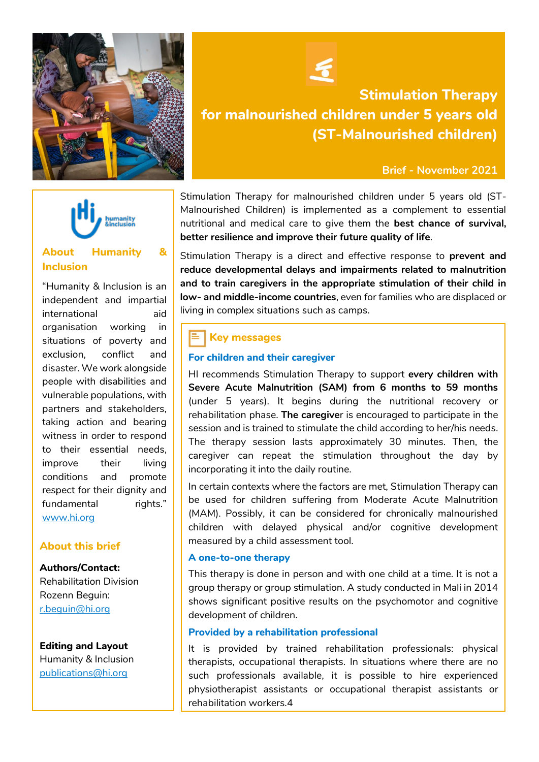



# **About Humanity & Inclusion**

"Humanity & Inclusion is an independent and impartial international aid organisation working in situations of poverty and exclusion, conflict and disaster. We work alongside people with disabilities and vulnerable populations, with partners and stakeholders, taking action and bearing witness in order to respond to their essential needs, improve their living conditions and promote respect for their dignity and fundamental rights." [www.hi.org](http://www.hi.org/)

### **About this brief**

**Authors/Contact:** Rehabilitation Division Rozenn Beguin: [r.beguin@hi.org](mailto:r.beguin@hi.org)

#### **Editing and Layout**

effet positif, qui co

Humanity & Inclusion [publications@hi.org](mailto:publications@hi.org)



# **Stimulation Therapy for malnourished children under 5 years old (ST-Malnourished children)**

#### **Brief - November 2021**

Stimulation Therapy for malnourished children under 5 years old (ST-Malnourished Children) is implemented as a complement to essential nutritional and medical care to give them the **best chance of survival, better resilience and improve their future quality of life**.

Stimulation Therapy is a direct and effective response to **prevent and reduce developmental delays and impairments related to malnutrition and to train caregivers in the appropriate stimulation of their child in low- and middle-income countries**, even for families who are displaced or living in complex situations such as camps.

## **Key messages**

#### **For children and their caregiver**

HI recommends Stimulation Therapy to support **every children with Severe Acute Malnutrition (SAM) from 6 months to 59 months** (under 5 years). It begins during the nutritional recovery or rehabilitation phase. **The caregive**r is encouraged to participate in the session and is trained to stimulate the child according to her/his needs. The therapy session lasts approximately 30 minutes. Then, the caregiver can repeat the stimulation throughout the day by incorporating it into the daily routine.

In certain contexts where the factors are met, Stimulation Therapy can be used for children suffering from Moderate Acute Malnutrition (MAM). Possibly, it can be considered for chronically malnourished children with delayed physical and/or cognitive development measured by a child assessment tool.

#### **A one-to-one therapy**

This therapy is done in person and with one child at a time. It is not a group therapy or group stimulation. A study conducted in Mali in 2014 shows significant positive results on the psychomotor and cognitive development of children.

#### **Provided by a rehabilitation professional**

It is provided by trained rehabilitation professionals: physical therapists, occupational therapists. In situations where there are no such professionals available, it is possible to hire experienced physiotherapist assistants or occupational therapist assistants or rehabilitation workers.4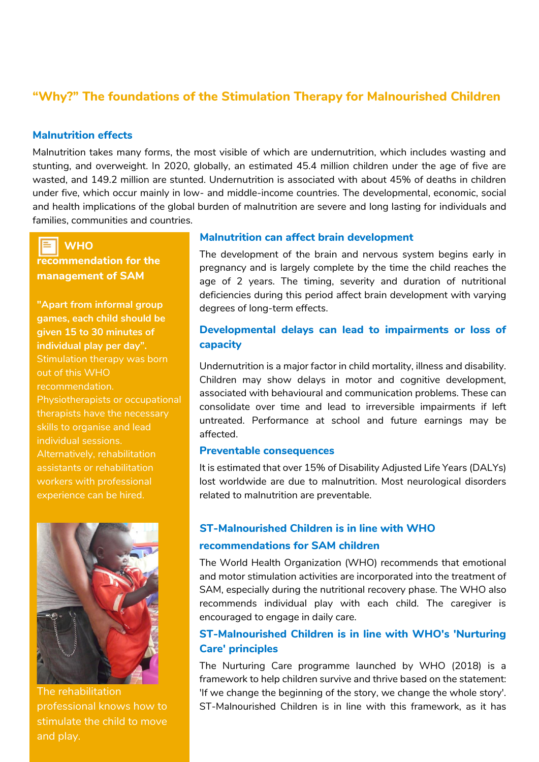# **"Why?" The foundations of the Stimulation Therapy for Malnourished Children**

### **Malnutrition effects**

Malnutrition takes many forms, the most visible of which are undernutrition, which includes wasting and stunting, and overweight. In 2020, globally, an estimated 45.4 million children under the age of five are wasted, and 149.2 million are stunted. Undernutrition is associated with about 45% of deaths in children under five, which occur mainly in low- and middle-income countries. The developmental, economic, social and health implications of the global burden of malnutrition are severe and long lasting for individuals and families, communities and countries.

 **WHO recommendation for the management of SAM**

**"Apart from informal group games, each child should be given 15 to 30 minutes of individual play per day".** Stimulation therapy was born out of this WHO recommendation. Physiotherapists or occupational therapists have the necessary skills to organise and lead individual sessions. Alternatively, rehabilitation assistants or rehabilitation workers with professional experience can be hired.



The rehabilitation professional knows how to stimulate the child to move and play.

#### **Malnutrition can affect brain development**

The development of the brain and nervous system begins early in pregnancy and is largely complete by the time the child reaches the age of 2 years. The timing, severity and duration of nutritional deficiencies during this period affect brain development with varying degrees of long-term effects.

## **Developmental delays can lead to impairments or loss of capacity**

Undernutrition is a major factor in child mortality, illness and disability. Children may show delays in motor and cognitive development, associated with behavioural and communication problems. These can consolidate over time and lead to irreversible impairments if left untreated. Performance at school and future earnings may be affected.

### **Preventable consequences**

It is estimated that over 15% of Disability Adjusted Life Years (DALYs) lost worldwide are due to malnutrition. Most neurological disorders related to malnutrition are preventable.

### **ST-Malnourished Children is in line with WHO**

### **recommendations for SAM children**

The World Health Organization (WHO) recommends that emotional and motor stimulation activities are incorporated into the treatment of SAM, especially during the nutritional recovery phase. The WHO also recommends individual play with each child. The caregiver is encouraged to engage in daily care.

## **ST-Malnourished Children is in line with WHO's 'Nurturing Care' principles**

The Nurturing Care programme launched by WHO (2018) is a framework to help children survive and thrive based on the statement: 'If we change the beginning of the story, we change the whole story'. ST-Malnourished Children is in line with this framework, as it has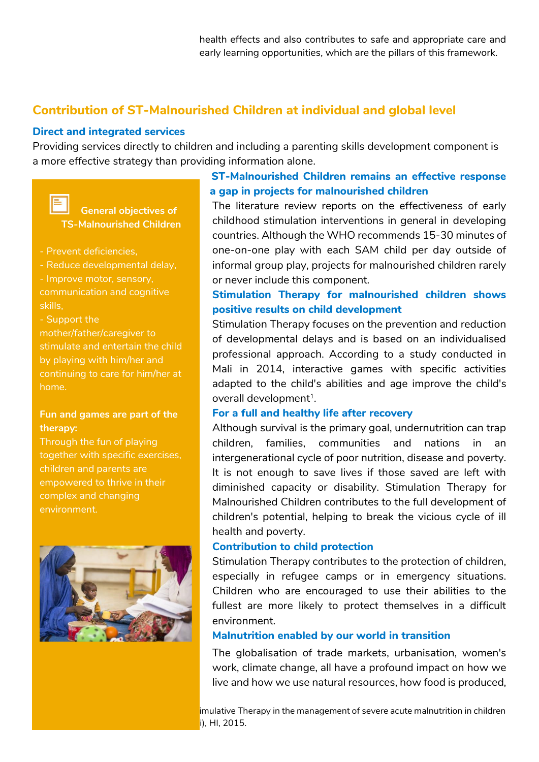health effects and also contributes to safe and appropriate care and early learning opportunities, which are the pillars of this framework.

# **Contribution of ST-Malnourished Children at individual and global level**

### **Direct and integrated services**

Providing services directly to children and including a parenting skills development component is a more effective strategy than providing information alone.



 **General objectives of TS-Malnourished Children**

- Prevent deficiencies,
- Reduce developmental delay,
- Improve motor, sensory, communication and cognitive skills,
- Support the

mother/father/caregiver to stimulate and entertain the child by playing with him/her and continuing to care for him/her at home.

### **Fun and games are part of the therapy:**

Through the fun of playing together with specific exercises, children and parents are empowered to thrive in their complex and changing environment.



# **ST-Malnourished Children remains an effective response to a gap in projects for malnourished children**<br> **the literature review reports on the effective**

The literature review reports on the effectiveness of early childhood stimulation interventions in general in developing countries. Although the WHO recommends 15-30 minutes of one-on-one play with each SAM child per day outside of informal group play, projects for malnourished children rarely or never include this component.

# **Stimulation Therapy for malnourished children shows positive results on child development**

Stimulation Therapy focuses on the prevention and reduction of developmental delays and is based on an individualised professional approach. According to a study conducted in Mali in 2014, interactive games with specific activities adapted to the child's abilities and age improve the child's overall development<sup>1</sup>.

### **For a full and healthy life after recovery**

Although survival is the primary goal, undernutrition can trap children, families, communities and nations in an intergenerational cycle of poor nutrition, disease and poverty. It is not enough to save lives if those saved are left with diminished capacity or disability. Stimulation Therapy for Malnourished Children contributes to the full development of children's potential, helping to break the vicious cycle of ill health and poverty.

### **Contribution to child protection**

Stimulation Therapy contributes to the protection of children, especially in refugee camps or in emergency situations. Children who are encouraged to use their abilities to the fullest are more likely to protect themselves in a difficult environment.

### **Malnutrition enabled by our world in transition**

The globalisation of trade markets, urbanisation, women's work, climate change, all have a profound impact on how we live and how we use natural resources, how food is produced,

imulative Therapy in the management of severe acute malnutrition in children  $i$ ), HI, 2015.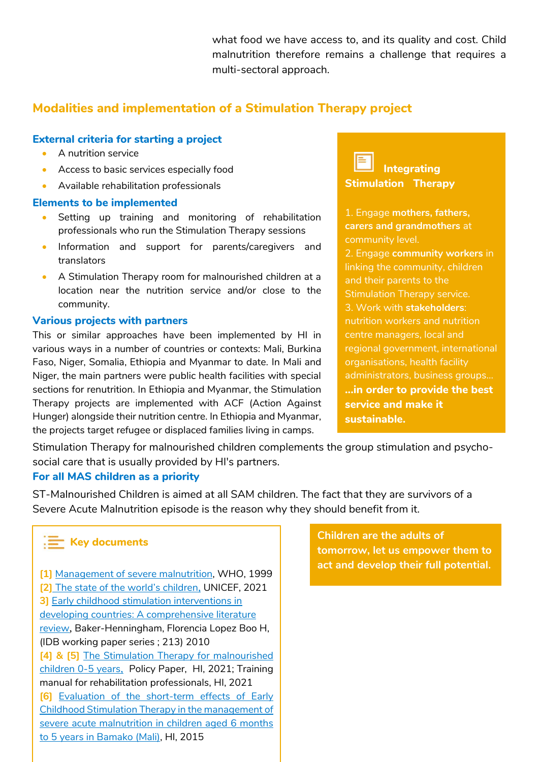what food we have access to, and its quality and cost. Child malnutrition therefore remains a challenge that requires a multi-sectoral approach.

# **Modalities and implementation of a Stimulation Therapy project**

### **External criteria for starting a project**

- A nutrition service
- **Access to basic services especially food**
- Available rehabilitation professionals

### **Elements to be implemented**

- Setting up training and monitoring of rehabilitation professionals who run the Stimulation Therapy sessions
- Information and support for parents/caregivers and translators
- A Stimulation Therapy room for malnourished children at a location near the nutrition service and/or close to the community.

### **Various projects with partners**

This or similar approaches have been implemented by HI in various ways in a number of countries or contexts: Mali, Burkina Faso, Niger, Somalia, Ethiopia and Myanmar to date. In Mali and Niger, the main partners were public health facilities with special sections for renutrition. In Ethiopia and Myanmar, the Stimulation Therapy projects are implemented with ACF (Action Against Hunger) alongside their nutrition centre. In Ethiopia and Myanmar, the projects target refugee or displaced families living in camps.

# **Integrating Stimulation Therapy**

1. Engage **mothers, fathers, carers and grandmothers** at community level.

2. Engage **community workers** in linking the community, children and their parents to the Stimulation Therapy service. 3. Work with **stakeholders**: nutrition workers and nutrition centre managers, local and regional government, international organisations, health facility administrators, business groups... **...in order to provide the best service and make it sustainable.**

Stimulation Therapy for malnourished children complements the group stimulation and psychosocial care that is usually provided by HI's partners.

### **For all MAS children as a priority**

ST-Malnourished Children is aimed at all SAM children. The fact that they are survivors of a Severe Acute Malnutrition episode is the reason why they should benefit from it.

# **Key documents**

**[1]** [Management of severe malnutrition,](https://www.who.int/nutrition/publications/severemalnutrition/9241545119/en/) WHO, 1999 **[2]** [The state of the world's children](https://www.unicef.org/reports/state-worlds-children-2021), UNICEF, 2021 **3]** Early childhood stimulation interventions in developing countries: A comprehensive literature review, Baker-Henningham, Florencia Lopez Boo H, (IDB working paper series ; 213) 2010 **[4] & [5]** [The Stimulation Therapy for](https://hinside.hi.org/intranet/jcms/pl1_2613168/fr/la-therapie-de-stimulation-pour-enfants-de-0-a-5-ans-souffrant-de-malnutrition-aigue-severe-ts-mas) malnourished [children 0-5 years](https://hinside.hi.org/intranet/jcms/pl1_2613168/fr/la-therapie-de-stimulation-pour-enfants-de-0-a-5-ans-souffrant-de-malnutrition-aigue-severe-ts-mas), Policy Paper, HI, 2021; Training manual for rehabilitation professionals, HI, 2021 **[6]** [Evaluation of the short-term effects of Early](https://hinside.hi.org/intranet/jcms/prod_2227198/fr/evaluation-des-effets-a-court-terme-de-la-kinesitherapie-de-stimulation-dans-la-prise-en-charge-de-la-malnutrition-aigue-severe-chez-les-enfants-ages-de-6-mois-a-5-ans-a-bamako-mali)  [Childhood Stimulation Therapy in the management of](https://hinside.hi.org/intranet/jcms/prod_2227198/fr/evaluation-des-effets-a-court-terme-de-la-kinesitherapie-de-stimulation-dans-la-prise-en-charge-de-la-malnutrition-aigue-severe-chez-les-enfants-ages-de-6-mois-a-5-ans-a-bamako-mali)  [severe acute malnutrition in children aged 6 months](https://hinside.hi.org/intranet/jcms/prod_2227198/fr/evaluation-des-effets-a-court-terme-de-la-kinesitherapie-de-stimulation-dans-la-prise-en-charge-de-la-malnutrition-aigue-severe-chez-les-enfants-ages-de-6-mois-a-5-ans-a-bamako-mali)  [to 5 years in Bamako \(Mali\),](https://hinside.hi.org/intranet/jcms/prod_2227198/fr/evaluation-des-effets-a-court-terme-de-la-kinesitherapie-de-stimulation-dans-la-prise-en-charge-de-la-malnutrition-aigue-severe-chez-les-enfants-ages-de-6-mois-a-5-ans-a-bamako-mali) HI, 2015

**Children are the adults of tomorrow, let us empower them to act and develop their full potential.** 

í